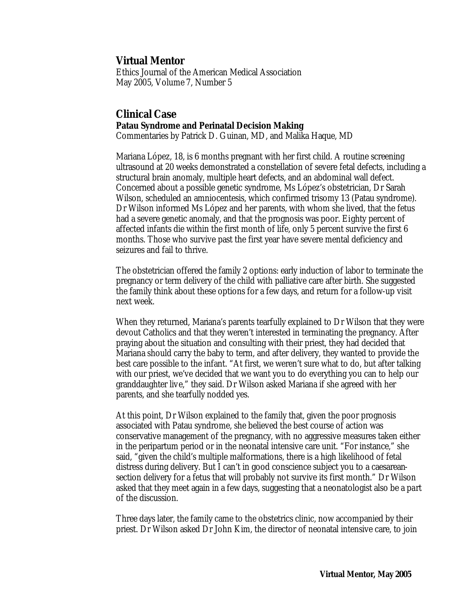# **Virtual Mentor**

Ethics Journal of the American Medical Association May 2005, Volume 7, Number 5

# **Clinical Case Patau Syndrome and Perinatal Decision Making**

Commentaries by Patrick D. Guinan, MD, and Malika Haque, MD

Mariana López, 18, is 6 months pregnant with her first child. A routine screening ultrasound at 20 weeks demonstrated a constellation of severe fetal defects, including a structural brain anomaly, multiple heart defects, and an abdominal wall defect. Concerned about a possible genetic syndrome, Ms López's obstetrician, Dr Sarah Wilson, scheduled an amniocentesis, which confirmed trisomy 13 (Patau syndrome). Dr Wilson informed Ms López and her parents, with whom she lived, that the fetus had a severe genetic anomaly, and that the prognosis was poor. Eighty percent of affected infants die within the first month of life, only 5 percent survive the first 6 months. Those who survive past the first year have severe mental deficiency and seizures and fail to thrive.

The obstetrician offered the family 2 options: early induction of labor to terminate the pregnancy or term delivery of the child with palliative care after birth. She suggested the family think about these options for a few days, and return for a follow-up visit next week.

When they returned, Mariana's parents tearfully explained to Dr Wilson that they were devout Catholics and that they weren't interested in terminating the pregnancy. After praying about the situation and consulting with their priest, they had decided that Mariana should carry the baby to term, and after delivery, they wanted to provide the best care possible to the infant. "At first, we weren't sure what to do, but after talking with our priest, we've decided that we want you to do everything you can to help our granddaughter live," they said. Dr Wilson asked Mariana if she agreed with her parents, and she tearfully nodded yes.

At this point, Dr Wilson explained to the family that, given the poor prognosis associated with Patau syndrome, she believed the best course of action was conservative management of the pregnancy, with no aggressive measures taken either in the peripartum period or in the neonatal intensive care unit. "For instance," she said, "given the child's multiple malformations, there is a high likelihood of fetal distress during delivery. But I can't in good conscience subject you to a caesareansection delivery for a fetus that will probably not survive its first month." Dr Wilson asked that they meet again in a few days, suggesting that a neonatologist also be a part of the discussion.

Three days later, the family came to the obstetrics clinic, now accompanied by their priest. Dr Wilson asked Dr John Kim, the director of neonatal intensive care, to join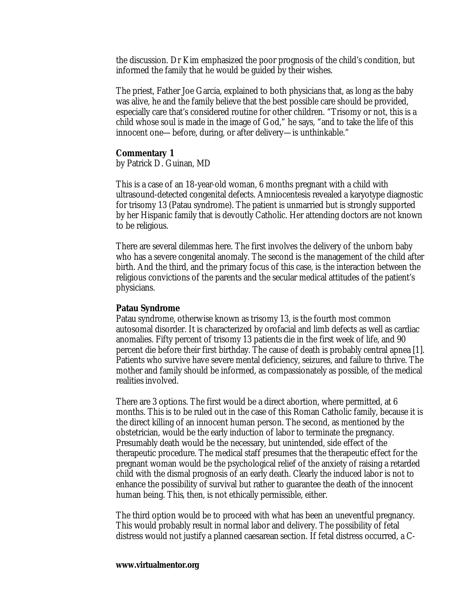the discussion. Dr Kim emphasized the poor prognosis of the child's condition, but informed the family that he would be guided by their wishes.

The priest, Father Joe Garcia, explained to both physicians that, as long as the baby was alive, he and the family believe that the best possible care should be provided, especially care that's considered routine for other children. "Trisomy or not, this is a child whose soul is made in the image of God," he says, "and to take the life of this innocent one—before, during, or after delivery—is unthinkable."

#### **Commentary 1**

by Patrick D. Guinan, MD

This is a case of an 18-year-old woman, 6 months pregnant with a child with ultrasound-detected congenital defects. Amniocentesis revealed a karyotype diagnostic for trisomy 13 (Patau syndrome). The patient is unmarried but is strongly supported by her Hispanic family that is devoutly Catholic. Her attending doctors are not known to be religious.

There are several dilemmas here. The first involves the delivery of the unborn baby who has a severe congenital anomaly. The second is the management of the child after birth. And the third, and the primary focus of this case, is the interaction between the religious convictions of the parents and the secular medical attitudes of the patient's physicians.

#### **Patau Syndrome**

Patau syndrome, otherwise known as trisomy 13, is the fourth most common autosomal disorder. It is characterized by orofacial and limb defects as well as cardiac anomalies. Fifty percent of trisomy 13 patients die in the first week of life, and 90 percent die before their first birthday. The cause of death is probably central apnea [1]. Patients who survive have severe mental deficiency, seizures, and failure to thrive. The mother and family should be informed, as compassionately as possible, of the medical realities involved.

There are 3 options. The first would be a direct abortion, where permitted, at 6 months. This is to be ruled out in the case of this Roman Catholic family, because it is the direct killing of an innocent human person. The second, as mentioned by the obstetrician, would be the early induction of labor to terminate the pregnancy. Presumably death would be the necessary, but unintended, side effect of the therapeutic procedure. The medical staff presumes that the therapeutic effect for the pregnant woman would be the psychological relief of the anxiety of raising a retarded child with the dismal prognosis of an early death. Clearly the induced labor is not to enhance the possibility of survival but rather to guarantee the death of the innocent human being. This, then, is not ethically permissible, either.

The third option would be to proceed with what has been an uneventful pregnancy. This would probably result in normal labor and delivery. The possibility of fetal distress would not justify a planned caesarean section. If fetal distress occurred, a C-

#### **www.virtualmentor.org**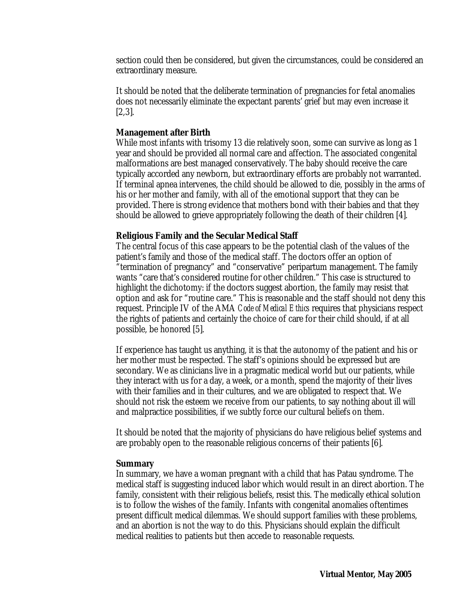section could then be considered, but given the circumstances, could be considered an extraordinary measure.

It should be noted that the deliberate termination of pregnancies for fetal anomalies does not necessarily eliminate the expectant parents' grief but may even increase it [2,3].

## **Management after Birth**

While most infants with trisomy 13 die relatively soon, some can survive as long as 1 year and should be provided all normal care and affection. The associated congenital malformations are best managed conservatively. The baby should receive the care typically accorded any newborn, but extraordinary efforts are probably not warranted. If terminal apnea intervenes, the child should be allowed to die, possibly in the arms of his or her mother and family, with all of the emotional support that they can be provided. There is strong evidence that mothers bond with their babies and that they should be allowed to grieve appropriately following the death of their children [4].

# **Religious Family and the Secular Medical Staff**

The central focus of this case appears to be the potential clash of the values of the patient's family and those of the medical staff. The doctors offer an option of "termination of pregnancy" and "conservative" peripartum management. The family wants "care that's considered routine for other children." This case is structured to highlight the dichotomy: if the doctors suggest abortion, the family may resist that option and ask for "routine care." This is reasonable and the staff should not deny this request. Principle IV of the AMA *Code of Medical Ethics* requires that physicians respect the rights of patients and certainly the choice of care for their child should, if at all possible, be honored [5].

If experience has taught us anything, it is that the autonomy of the patient and his or her mother must be respected. The staff's opinions should be expressed but are secondary. We as clinicians live in a pragmatic medical world but our patients, while they interact with us for a day, a week, or a month, spend the majority of their lives with their families and in their cultures, and we are obligated to respect that. We should not risk the esteem we receive from our patients, to say nothing about ill will and malpractice possibilities, if we subtly force our cultural beliefs on them.

It should be noted that the majority of physicians do have religious belief systems and are probably open to the reasonable religious concerns of their patients [6].

### **Summary**

In summary, we have a woman pregnant with a child that has Patau syndrome. The medical staff is suggesting induced labor which would result in an direct abortion. The family, consistent with their religious beliefs, resist this. The medically ethical solution is to follow the wishes of the family. Infants with congenital anomalies oftentimes present difficult medical dilemmas. We should support families with these problems, and an abortion is not the way to do this. Physicians should explain the difficult medical realities to patients but then accede to reasonable requests.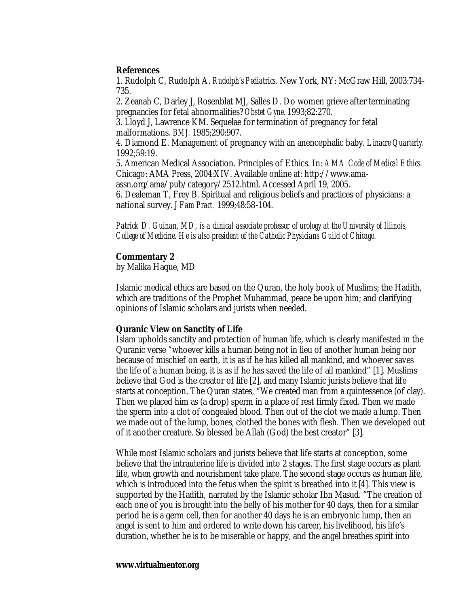#### **References**

1. Rudolph C, Rudolph A. *Rudolph's Pediatrics.* New York, NY: McGraw Hill, 2003:734- 735.

2. Zeanah C, Darley J, Rosenblat MJ, Salles D. Do women grieve after terminating pregnancies for fetal abnormalities? *Obstet Gyne.* 1993;82:270.

3. Lloyd J, Lawrence KM. Sequelae for termination of pregnancy for fetal malformations. *BMJ.* 1985;290:907.

4. Diamond E. Management of pregnancy with an anencephalic baby. *Linacre Quarterly.* 1992;59:19.

5. American Medical Association. Principles of Ethics. In: *AMA Code of Medical Ethics.* Chicago: AMA Press, 2004:XIV. Available online at: http://www.ama-

assn.org/ama/pub/category/2512.html. Accessed April 19, 2005. 6. Dealeman T, Frey B. Spiritual and religious beliefs and practices of physicians: a

national survey. *J Fam Pract.* 1999;48:58-104.

*Patrick D. Guinan, MD, is a clinical associate professor of urology at the University of Illinois, College of Medicine. He is also president of the Catholic Physicians Guild of Chicago.*

### **Commentary 2**

by Malika Haque, MD

Islamic medical ethics are based on the Quran, the holy book of Muslims; the Hadith, which are traditions of the Prophet Muhammad, peace be upon him; and clarifying opinions of Islamic scholars and jurists when needed.

### **Quranic View on Sanctity of Life**

Islam upholds sanctity and protection of human life, which is clearly manifested in the Quranic verse "whoever kills a human being not in lieu of another human being nor because of mischief on earth, it is as if he has killed all mankind, and whoever saves the life of a human being, it is as if he has saved the life of all mankind" [1]. Muslims believe that God is the creator of life [2], and many Islamic jurists believe that life starts at conception. The Quran states, "We created man from a quintessence (of clay). Then we placed him as (a drop) sperm in a place of rest firmly fixed. Then we made the sperm into a clot of congealed blood. Then out of the clot we made a lump. Then we made out of the lump, bones, clothed the bones with flesh. Then we developed out of it another creature. So blessed be Allah (God) the best creator" [3].

While most Islamic scholars and jurists believe that life starts at conception, some believe that the intrauterine life is divided into 2 stages. The first stage occurs as plant life, when growth and nourishment take place. The second stage occurs as human life, which is introduced into the fetus when the spirit is breathed into it [4]. This view is supported by the Hadith, narrated by the Islamic scholar Ibn Masud. "The creation of each one of you is brought into the belly of his mother for 40 days, then for a similar period he is a germ cell, then for another 40 days he is an embryonic lump, then an angel is sent to him and ordered to write down his career, his livelihood, his life's duration, whether he is to be miserable or happy, and the angel breathes spirit into

#### **www.virtualmentor.org**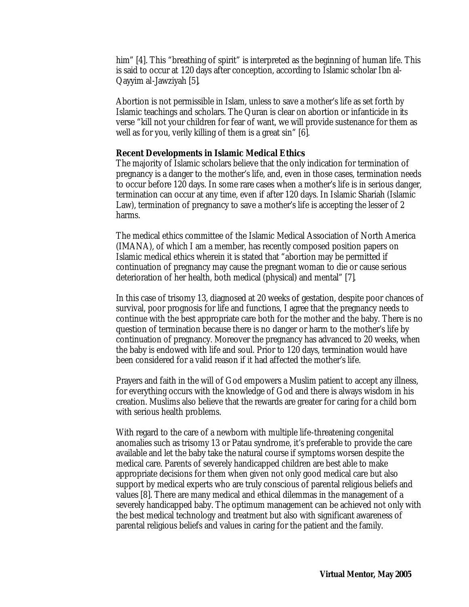him" [4]. This "breathing of spirit" is interpreted as the beginning of human life. This is said to occur at 120 days after conception, according to Islamic scholar Ibn al-Qayyim al-Jawziyah [5].

Abortion is not permissible in Islam, unless to save a mother's life as set forth by Islamic teachings and scholars. The Quran is clear on abortion or infanticide in its verse "kill not your children for fear of want, we will provide sustenance for them as well as for you, verily killing of them is a great sin" [6].

### **Recent Developments in Islamic Medical Ethics**

The majority of Islamic scholars believe that the only indication for termination of pregnancy is a danger to the mother's life, and, even in those cases, termination needs to occur before 120 days. In some rare cases when a mother's life is in serious danger, termination can occur at any time, even if after 120 days. In Islamic Shariah (Islamic Law), termination of pregnancy to save a mother's life is accepting the lesser of 2 harms.

The medical ethics committee of the Islamic Medical Association of North America (IMANA), of which I am a member, has recently composed position papers on Islamic medical ethics wherein it is stated that "abortion may be permitted if continuation of pregnancy may cause the pregnant woman to die or cause serious deterioration of her health, both medical (physical) and mental" [7].

In this case of trisomy 13, diagnosed at 20 weeks of gestation, despite poor chances of survival, poor prognosis for life and functions, I agree that the pregnancy needs to continue with the best appropriate care both for the mother and the baby. There is no question of termination because there is no danger or harm to the mother's life by continuation of pregnancy. Moreover the pregnancy has advanced to 20 weeks, when the baby is endowed with life and soul. Prior to 120 days, termination would have been considered for a valid reason if it had affected the mother's life.

Prayers and faith in the will of God empowers a Muslim patient to accept any illness, for everything occurs with the knowledge of God and there is always wisdom in his creation. Muslims also believe that the rewards are greater for caring for a child born with serious health problems.

With regard to the care of a newborn with multiple life-threatening congenital anomalies such as trisomy 13 or Patau syndrome, it's preferable to provide the care available and let the baby take the natural course if symptoms worsen despite the medical care. Parents of severely handicapped children are best able to make appropriate decisions for them when given not only good medical care but also support by medical experts who are truly conscious of parental religious beliefs and values [8]. There are many medical and ethical dilemmas in the management of a severely handicapped baby. The optimum management can be achieved not only with the best medical technology and treatment but also with significant awareness of parental religious beliefs and values in caring for the patient and the family.